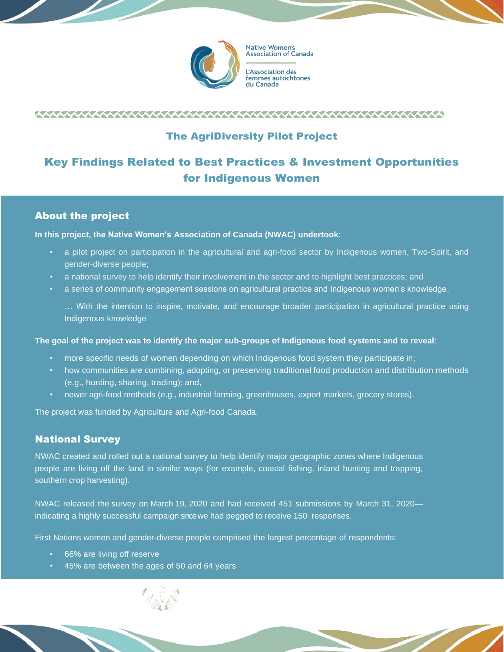

**Native Women's Association of Canada** Association des femmes autochtones du Canada

## 

## The AgriDiversity Pilot Project

# Key Findings Related to Best Practices & Investment Opportunities for Indigenous Women

## About the project

### **In this project, the Native Women's Association of Canada (NWAC) undertook**:

- a pilot project on participation in the agricultural and agri-food sector by Indigenous women, Two-Spirit, and gender-diverse people;
- a national survey to help identify their involvement in the sector and to highlight best practices; and
- a series of community engagement sessions on agricultural practice and Indigenous women's knowledge.

… With the intention to inspire, motivate, and encourage broader participation in agricultural practice using Indigenous knowledge

### **The goal of the project was to identify the major sub-groups of Indigenous food systems and to reveal**:

- more specific needs of women depending on which Indigenous food system they participate in;
- how communities are combining, adopting, or preserving traditional food production and distribution methods (e.g., hunting, sharing, trading); and,
- newer agri-food methods (e.g., industrial farming, greenhouses, export markets, grocery stores).

The project was funded by Agriculture and Agri-food Canada.

## National Survey

NWAC created and rolled out a national survey to help identify major geographic zones where Indigenous people are living off the land in similar ways (for example, coastal fishing, inland hunting and trapping, southern crop harvesting).

NWAC released the survey on March 19, 2020 and had received 451 submissions by March 31, 2020 indicating a highly successful campaign since we had pegged to receive 150 responses.

First Nations women and gender-diverse people comprised the largest percentage of respondents:

- 66% are living off reserve
- 45% are between the ages of 50 and 64 years

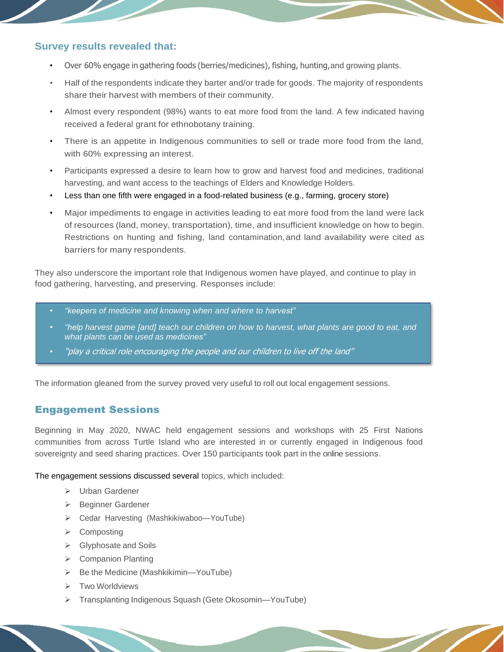### **Survey results revealed that:**

- Over 60% engage in gathering foods (berries/medicines), fishing, hunting,and growing plants.
- Half of the respondents indicate they barter and/or trade for goods. The majority of respondents share their harvest with members of their community.
- Almost every respondent (98%) wants to eat more food from the land. A few indicated having received a federal grant for ethnobotany training.
- There is an appetite in Indigenous communities to sell or trade more food from the land, with 60% expressing an interest.
- Participants expressed a desire to learn how to grow and harvest food and medicines, traditional harvesting, and want access to the teachings of Elders and Knowledge Holders.
- Less than one fifth were engaged in a food-related business (e.g., farming, grocery store)
- Major impediments to engage in activities leading to eat more food from the land were lack of resources (land, money, transportation), time, and insufficient knowledge on how to begin. Restrictions on hunting and fishing, land contamination,and land availability were cited as barriers for many respondents.

They also underscore the important role that Indigenous women have played, and continue to play in food gathering, harvesting, and preserving. Responses include:

- *"keepers of medicine and knowing when and where to harvest"*
- *"help harvest game [and] teach our children on how to harvest, what plants are good to eat, and what plants can be used as medicines"*
- "play a critical role encouraging the people and our children to live off the land"

The information gleaned from the survey proved very useful to roll out local engagement sessions.

## Engagement Sessions

Beginning in May 2020, NWAC held engagement sessions and workshops with 25 First Nations communities from across Turtle Island who are interested in or currently engaged in Indigenous food sovereignty and seed sharing practices. Over 150 participants took part in the online sessions.

The engagement sessions discussed several topics, which included:

- ➢ Urban Gardener
- ➢ Beginner Gardener
- ➢ Cedar Harvesting (Mashkikiwaboo—YouTube)
- ➢ Composting
- ➢ Glyphosate and Soils
- ➢ Companion Planting
- ➢ Be the Medicine (Mashkikimin—YouTube)
- ➢ Two Worldviews
- ➢ Transplanting Indigenous Squash (Gete Okosomin—YouTube)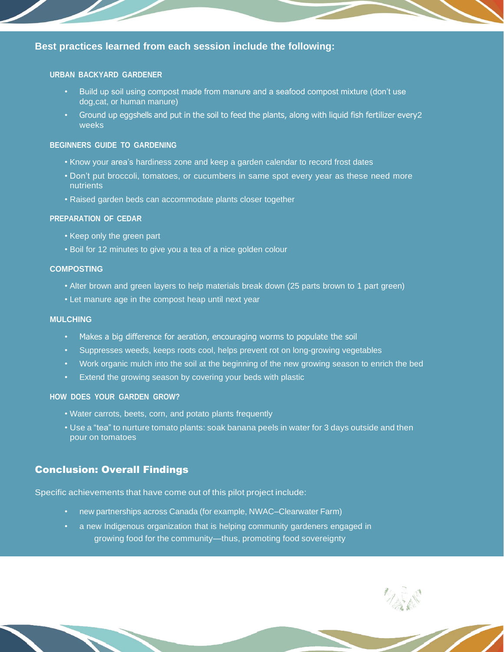## **Best practices learned from each session include the following:**

#### **URBAN BACKYARD GARDENER**

- Build up soil using compost made from manure and a seafood compost mixture (don't use dog,cat, or human manure)
- Ground up eggshells and put in the soil to feed the plants, along with liquid fish fertilizer every2 weeks

#### **BEGINNERS GUIDE TO GARDENING**

- Know your area's hardiness zone and keep a garden calendar to record frost dates
- Don't put broccoli, tomatoes, or cucumbers in same spot every year as these need more nutrients
- Raised garden beds can accommodate plants closer together

#### **PREPARATION OF CEDAR**

- Keep only the green part
- Boil for 12 minutes to give you a tea of a nice golden colour

#### **COMPOSTING**

- Alter brown and green layers to help materials break down (25 parts brown to 1 part green)
- Let manure age in the compost heap until next year

#### **MULCHING**

- Makes a big difference for aeration, encouraging worms to populate the soil
- Suppresses weeds, keeps roots cool, helps prevent rot on long-growing vegetables
- Work organic mulch into the soil at the beginning of the new growing season to enrich the bed
- Extend the growing season by covering your beds with plastic

### **HOW DOES YOUR GARDEN GROW?**

- Water carrots, beets, corn, and potato plants frequently
- Use a "tea" to nurture tomato plants: soak banana peels in water for 3 days outside and then pour on tomatoes

## Conclusion: Overall Findings

Specific achievements that have come out of this pilot project include:

- new partnerships across Canada (for example, NWAC–Clearwater Farm)
- a new Indigenous organization that is helping community gardeners engaged in growing food for the community—thus, promoting food sovereignty